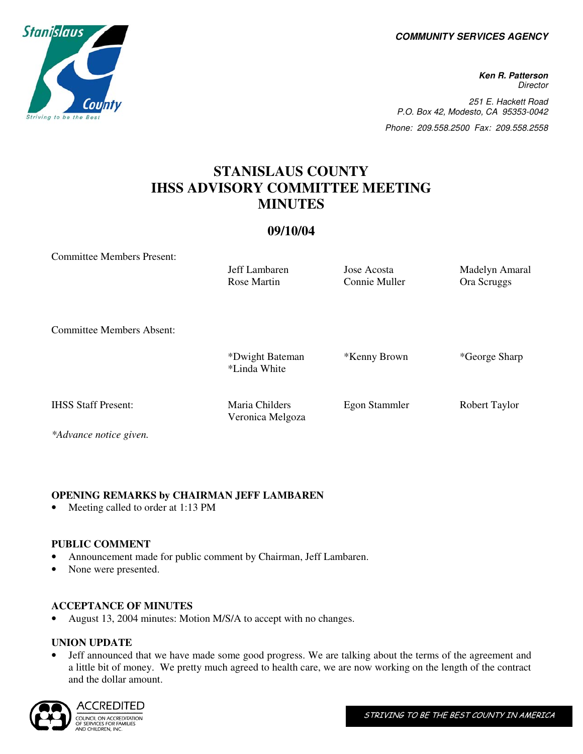**COMMUNITY SERVICES AGENCY** 

**Ken R. Patterson Director** 251 E. Hackett Road P.O. Box 42, Modesto, CA 95353-0042 Phone: 209.558.2500 Fax: 209.558.2558

# **STANISLAUS COUNTY IHSS ADVISORY COMMITTEE MEETING MINUTES**

#### **09/10/04**

Committee Members Present:

Rose Martin Connie Muller Ora Scruggs

Veronica Melgoza

Jeff Lambaren Jose Acosta Madelyn Amaral

Committee Members Absent:

| *Dwight Bateman | *Kenny Brown | *George Sharp |
|-----------------|--------------|---------------|
| *Linda White    |              |               |

IHSS Staff Present: Maria Childers Egon Stammler Robert Taylor

*\*Advance notice given.* 

#### **OPENING REMARKS by CHAIRMAN JEFF LAMBAREN**

Meeting called to order at 1:13 PM

#### **PUBLIC COMMENT**

- Announcement made for public comment by Chairman, Jeff Lambaren.
- None were presented.

#### **ACCEPTANCE OF MINUTES**

• August 13, 2004 minutes: Motion M/S/A to accept with no changes.

### **UNION UPDATE**

• Jeff announced that we have made some good progress. We are talking about the terms of the agreement and a little bit of money. We pretty much agreed to health care, we are now working on the length of the contract and the dollar amount.



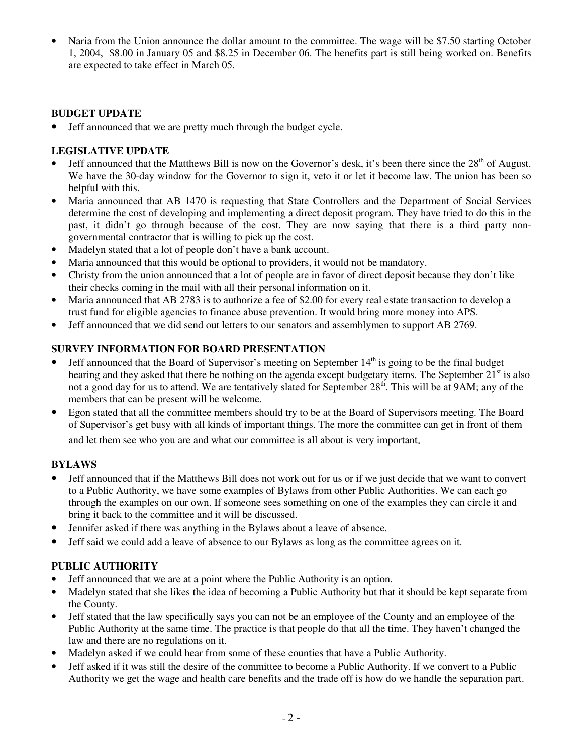• Naria from the Union announce the dollar amount to the committee. The wage will be \$7.50 starting October 1, 2004, \$8.00 in January 05 and \$8.25 in December 06. The benefits part is still being worked on. Benefits are expected to take effect in March 05.

#### **BUDGET UPDATE**

• Jeff announced that we are pretty much through the budget cycle.

#### **LEGISLATIVE UPDATE**

- Jeff announced that the Matthews Bill is now on the Governor's desk, it's been there since the  $28<sup>th</sup>$  of August. We have the 30-day window for the Governor to sign it, veto it or let it become law. The union has been so helpful with this.
- Maria announced that AB 1470 is requesting that State Controllers and the Department of Social Services determine the cost of developing and implementing a direct deposit program. They have tried to do this in the past, it didn't go through because of the cost. They are now saying that there is a third party nongovernmental contractor that is willing to pick up the cost.
- Madelyn stated that a lot of people don't have a bank account.
- Maria announced that this would be optional to providers, it would not be mandatory.
- Christy from the union announced that a lot of people are in favor of direct deposit because they don't like their checks coming in the mail with all their personal information on it.
- Maria announced that AB 2783 is to authorize a fee of \$2.00 for every real estate transaction to develop a trust fund for eligible agencies to finance abuse prevention. It would bring more money into APS.
- Jeff announced that we did send out letters to our senators and assemblymen to support AB 2769.

#### **SURVEY INFORMATION FOR BOARD PRESENTATION**

- Jeff announced that the Board of Supervisor's meeting on September  $14<sup>th</sup>$  is going to be the final budget hearing and they asked that there be nothing on the agenda except budgetary items. The September  $21<sup>st</sup>$  is also not a good day for us to attend. We are tentatively slated for September 28<sup>th</sup>. This will be at 9AM; any of the members that can be present will be welcome.
- Egon stated that all the committee members should try to be at the Board of Supervisors meeting. The Board of Supervisor's get busy with all kinds of important things. The more the committee can get in front of them and let them see who you are and what our committee is all about is very important.

#### **BYLAWS**

- Jeff announced that if the Matthews Bill does not work out for us or if we just decide that we want to convert to a Public Authority, we have some examples of Bylaws from other Public Authorities. We can each go through the examples on our own. If someone sees something on one of the examples they can circle it and bring it back to the committee and it will be discussed.
- Jennifer asked if there was anything in the Bylaws about a leave of absence.
- Jeff said we could add a leave of absence to our Bylaws as long as the committee agrees on it.

#### **PUBLIC AUTHORITY**

- Jeff announced that we are at a point where the Public Authority is an option.
- Madelyn stated that she likes the idea of becoming a Public Authority but that it should be kept separate from the County.
- Jeff stated that the law specifically says you can not be an employee of the County and an employee of the Public Authority at the same time. The practice is that people do that all the time. They haven't changed the law and there are no regulations on it.
- Madelyn asked if we could hear from some of these counties that have a Public Authority.
- Jeff asked if it was still the desire of the committee to become a Public Authority. If we convert to a Public Authority we get the wage and health care benefits and the trade off is how do we handle the separation part.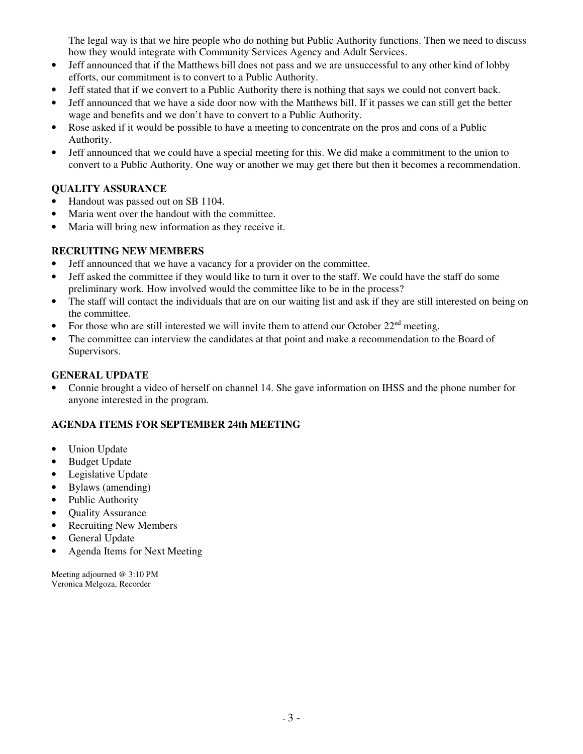The legal way is that we hire people who do nothing but Public Authority functions. Then we need to discuss how they would integrate with Community Services Agency and Adult Services.

- Jeff announced that if the Matthews bill does not pass and we are unsuccessful to any other kind of lobby efforts, our commitment is to convert to a Public Authority.
- Jeff stated that if we convert to a Public Authority there is nothing that says we could not convert back.
- Jeff announced that we have a side door now with the Matthews bill. If it passes we can still get the better wage and benefits and we don't have to convert to a Public Authority.
- Rose asked if it would be possible to have a meeting to concentrate on the pros and cons of a Public Authority.
- Jeff announced that we could have a special meeting for this. We did make a commitment to the union to convert to a Public Authority. One way or another we may get there but then it becomes a recommendation.

### **QUALITY ASSURANCE**

- Handout was passed out on SB 1104.
- Maria went over the handout with the committee.
- Maria will bring new information as they receive it.

### **RECRUITING NEW MEMBERS**

- Jeff announced that we have a vacancy for a provider on the committee.
- Jeff asked the committee if they would like to turn it over to the staff. We could have the staff do some preliminary work. How involved would the committee like to be in the process?
- The staff will contact the individuals that are on our waiting list and ask if they are still interested on being on the committee.
- For those who are still interested we will invite them to attend our October  $22<sup>nd</sup>$  meeting.
- The committee can interview the candidates at that point and make a recommendation to the Board of Supervisors.

#### **GENERAL UPDATE**

• Connie brought a video of herself on channel 14. She gave information on IHSS and the phone number for anyone interested in the program.

### **AGENDA ITEMS FOR SEPTEMBER 24th MEETING**

- Union Update
- **Budget Update**
- Legislative Update
- Bylaws (amending)
- Public Authority
- Quality Assurance
- **Recruiting New Members**
- General Update
- Agenda Items for Next Meeting

Meeting adjourned @ 3:10 PM Veronica Melgoza, Recorder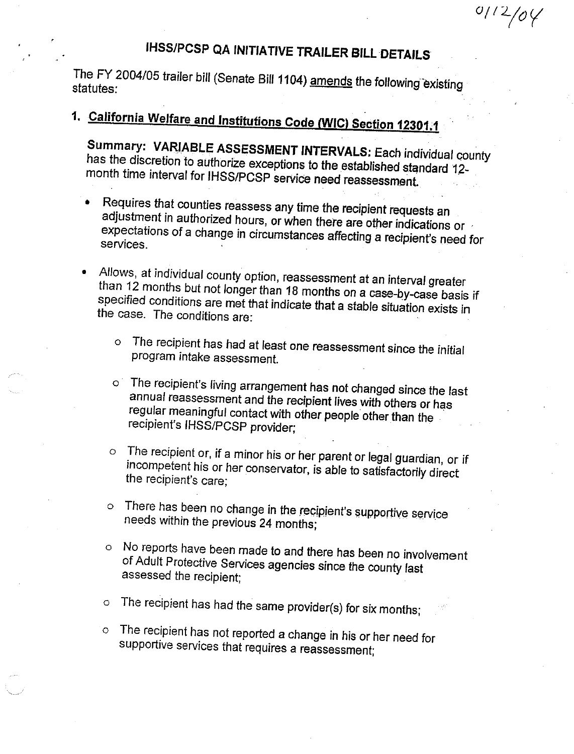# **IHSS/PCSP QA INITIATIVE TRAILER BILL DETAILS**

The FY 2004/05 trailer bill (Senate Bill 1104) amends the following existing statutes:

# 1. California Welfare and Institutions Code (WIC) Section 12301.1

Summary: VARIABLE ASSESSMENT INTERVALS: Each individual county has the discretion to authorize exceptions to the established standard 12month time interval for IHSS/PCSP service need reassessment.

- Requires that counties reassess any time the recipient requests an adjustment in authorized hours, or when there are other indications or expectations of a change in circumstances affecting a recipient's need for services.
- Allows, at individual county option, reassessment at an interval greater than 12 months but not longer than 18 months on a case-by-case basis if specified conditions are met that indicate that a stable situation exists in the case. The conditions are:
	- o The recipient has had at least one reassessment since the initial program intake assessment.
	- o The recipient's living arrangement has not changed since the last annual reassessment and the recipient lives with others or has regular meaningful contact with other people other than the recipient's IHSS/PCSP provider;
	- The recipient or, if a minor his or her parent or legal guardian, or if  $\circ$ incompetent his or her conservator, is able to satisfactorily direct the recipient's care:
	- There has been no change in the recipient's supportive service  $\circ$ needs within the previous 24 months;
	- o No reports have been made to and there has been no involvement of Adult Protective Services agencies since the county last assessed the recipient;
	- The recipient has had the same provider(s) for six months;  $\circ$
	- o The recipient has not reported a change in his or her need for supportive services that requires a reassessment;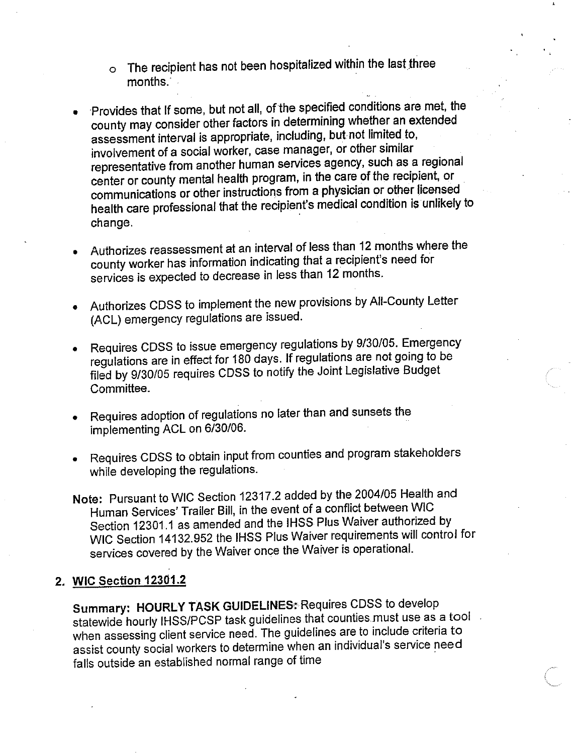- The recipient has not been hospitalized within the last three  $\circ$ months.
- Provides that If some, but not all, of the specified conditions are met, the county may consider other factors in determining whether an extended assessment interval is appropriate, including, but not limited to, involvement of a social worker, case manager, or other similar representative from another human services agency, such as a regional center or county mental health program, in the care of the recipient, or communications or other instructions from a physician or other licensed health care professional that the recipient's medical condition is unlikely to change.
- Authorizes reassessment at an interval of less than 12 months where the county worker has information indicating that a recipient's need for services is expected to decrease in less than 12 months.
- Authorizes CDSS to implement the new provisions by All-County Letter (ACL) emergency regulations are issued.
- Requires CDSS to issue emergency regulations by 9/30/05. Emergency regulations are in effect for 180 days. If regulations are not going to be filed by 9/30/05 requires CDSS to notify the Joint Legislative Budget Committee.
- Requires adoption of regulations no later than and sunsets the implementing ACL on 6/30/06.
- Requires CDSS to obtain input from counties and program stakeholders while developing the regulations.
- Note: Pursuant to WIC Section 12317.2 added by the 2004/05 Health and Human Services' Trailer Bill, in the event of a conflict between WIC Section 12301.1 as amended and the IHSS Plus Waiver authorized by WIC Section 14132.952 the IHSS Plus Waiver requirements will control for services covered by the Waiver once the Waiver is operational.

# 2. WIC Section 12301.2

Summary: HOURLY TASK GUIDELINES: Requires CDSS to develop statewide hourly IHSS/PCSP task guidelines that counties must use as a tool when assessing client service need. The guidelines are to include criteria to assist county social workers to determine when an individual's service need falls outside an established normal range of time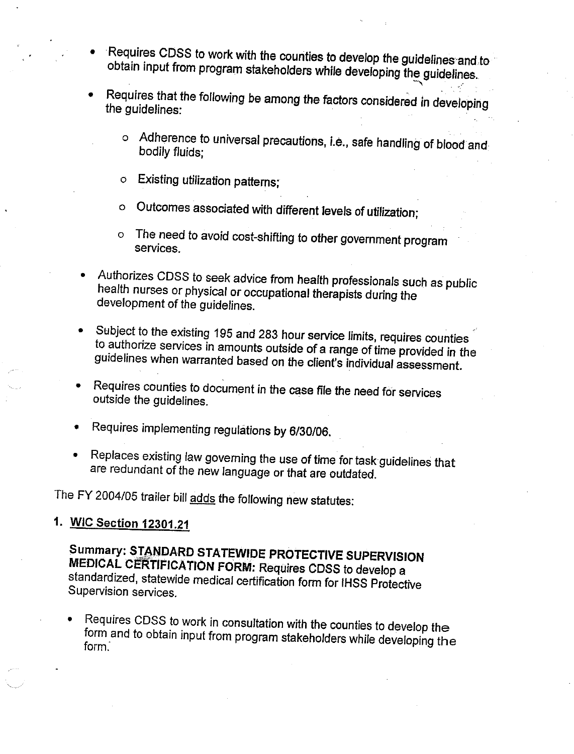- Requires CDSS to work with the counties to develop the guidelines and to obtain input from program stakeholders while developing the guidelines.
- Requires that the following be among the factors considered in developing the guidelines:
	- o Adherence to universal precautions, i.e., safe handling of blood and bodily fluids;
	- Existing utilization patterns;  $\mathbf{o}$
	- Outcomes associated with different levels of utilization;  $\circ$
	- o The need to avoid cost-shifting to other government program services.
- Authorizes CDSS to seek advice from health professionals such as public health nurses or physical or occupational therapists during the development of the guidelines.
- Subject to the existing 195 and 283 hour service limits, requires counties to authorize services in amounts outside of a range of time provided in the guidelines when warranted based on the client's individual assessment.
- Requires counties to document in the case file the need for services outside the guidelines.
- Requires implementing regulations by 6/30/06.
- Replaces existing law governing the use of time for task guidelines that are redundant of the new language or that are outdated.

The FY 2004/05 trailer bill adds the following new statutes:

# 1. WIC Section 12301.21

Summary: STANDARD STATEWIDE PROTECTIVE SUPERVISION MEDICAL CERTIFICATION FORM: Requires CDSS to develop a standardized, statewide medical certification form for IHSS Protective Supervision services.

Requires CDSS to work in consultation with the counties to develop the form and to obtain input from program stakeholders while developing the form.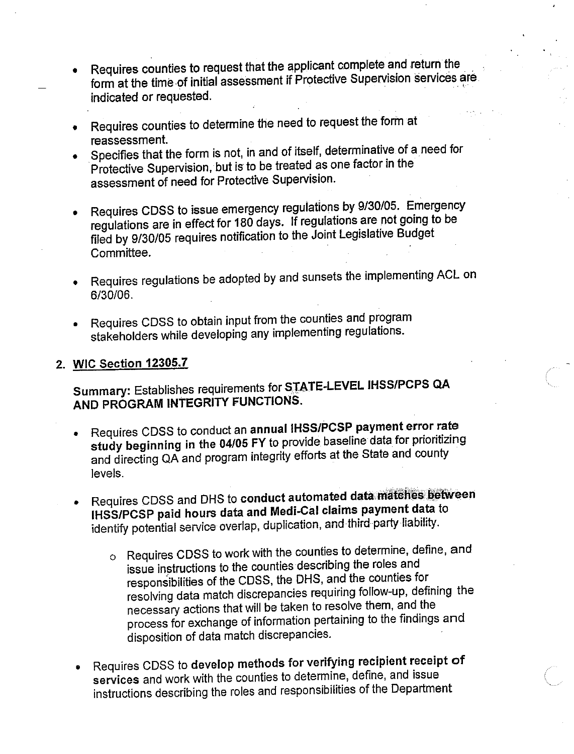- Requires counties to request that the applicant complete and return the form at the time of initial assessment if Protective Supervision services are indicated or requested.
- Requires counties to determine the need to request the form at reassessment.
- Specifies that the form is not, in and of itself, determinative of a need for Protective Supervision, but is to be treated as one factor in the assessment of need for Protective Supervision.
- Requires CDSS to issue emergency regulations by 9/30/05. Emergency regulations are in effect for 180 days. If regulations are not going to be filed by 9/30/05 requires notification to the Joint Legislative Budget Committee.
- Requires regulations be adopted by and sunsets the implementing ACL on 6/30/06.
- Requires CDSS to obtain input from the counties and program stakeholders while developing any implementing regulations.

#### 2. WIC Section 12305.7

Summary: Establishes requirements for STATE-LEVEL IHSS/PCPS QA AND PROGRAM INTEGRITY FUNCTIONS.

- Requires CDSS to conduct an annual IHSS/PCSP payment error rate study beginning in the 04/05 FY to provide baseline data for prioritizing and directing QA and program integrity efforts at the State and county levels.
- Requires CDSS and DHS to conduct automated data matches between IHSS/PCSP paid hours data and Medi-Cal claims payment data to identify potential service overlap, duplication, and third party liability.
	- o Requires CDSS to work with the counties to determine, define, and issue instructions to the counties describing the roles and responsibilities of the CDSS, the DHS, and the counties for resolving data match discrepancies requiring follow-up, defining the necessary actions that will be taken to resolve them, and the process for exchange of information pertaining to the findings and disposition of data match discrepancies.
- Requires CDSS to develop methods for verifying recipient receipt of services and work with the counties to determine, define, and issue instructions describing the roles and responsibilities of the Department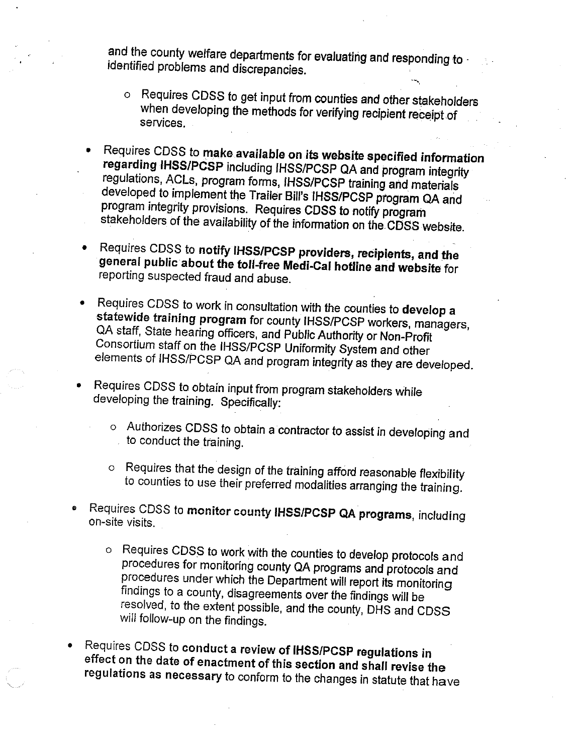and the county welfare departments for evaluating and responding to identified problems and discrepancies.

- o Requires CDSS to get input from counties and other stakeholders when developing the methods for verifying recipient receipt of services.
- Requires CDSS to make available on its website specified information regarding IHSS/PCSP including IHSS/PCSP QA and program integrity regulations, ACLs, program forms, IHSS/PCSP training and materials developed to implement the Trailer Bill's IHSS/PCSP program QA and program integrity provisions. Requires CDSS to notify program stakeholders of the availability of the information on the CDSS website.
- Requires CDSS to notify IHSS/PCSP providers, recipients, and the general public about the toll-free Medi-Cal hotline and website for reporting suspected fraud and abuse.
- Requires CDSS to work in consultation with the counties to develop a statewide training program for county IHSS/PCSP workers, managers, QA staff, State hearing officers, and Public Authority or Non-Profit Consortium staff on the IHSS/PCSP Uniformity System and other elements of IHSS/PCSP QA and program integrity as they are developed.
- Requires CDSS to obtain input from program stakeholders while developing the training. Specifically:
	- o Authorizes CDSS to obtain a contractor to assist in developing and to conduct the training.
	- o Requires that the design of the training afford reasonable flexibility to counties to use their preferred modalities arranging the training.
- Requires CDSS to monitor county IHSS/PCSP QA programs, including on-site visits.
	- o Requires CDSS to work with the counties to develop protocols and procedures for monitoring county QA programs and protocols and procedures under which the Department will report its monitoring findings to a county, disagreements over the findings will be resolved, to the extent possible, and the county, DHS and CDSS will follow-up on the findings.
- Requires CDSS to conduct a review of IHSS/PCSP regulations in effect on the date of enactment of this section and shall revise the regulations as necessary to conform to the changes in statute that have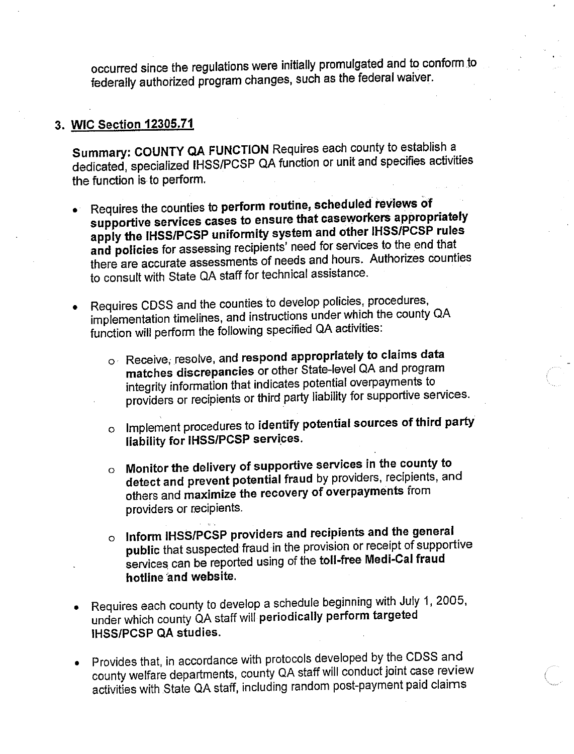occurred since the regulations were initially promulgated and to conform to federally authorized program changes, such as the federal waiver.

## 3. WIC Section 12305.71

Summary: COUNTY QA FUNCTION Requires each county to establish a dedicated, specialized IHSS/PCSP QA function or unit and specifies activities the function is to perform.

- Requires the counties to perform routine, scheduled reviews of supportive services cases to ensure that caseworkers appropriately apply the IHSS/PCSP uniformity system and other IHSS/PCSP rules and policies for assessing recipients' need for services to the end that there are accurate assessments of needs and hours. Authorizes counties to consult with State QA staff for technical assistance.
- Requires CDSS and the counties to develop policies, procedures, implementation timelines, and instructions under which the county QA function will perform the following specified QA activities:
	- o Receive, resolve, and respond appropriately to claims data matches discrepancies or other State-level QA and program integrity information that indicates potential overpayments to providers or recipients or third party liability for supportive services.
	- o Implement procedures to identify potential sources of third party liability for IHSS/PCSP services.
	- o Monitor the delivery of supportive services in the county to detect and prevent potential fraud by providers, recipients, and others and maximize the recovery of overpayments from providers or recipients.
	- o Inform IHSS/PCSP providers and recipients and the general public that suspected fraud in the provision or receipt of supportive services can be reported using of the toll-free Medi-Cal fraud hotline and website.
- Requires each county to develop a schedule beginning with July 1, 2005, under which county QA staff will periodically perform targeted **IHSS/PCSP QA studies.**
- Provides that, in accordance with protocols developed by the CDSS and county welfare departments, county QA staff will conduct joint case review activities with State QA staff, including random post-payment paid claims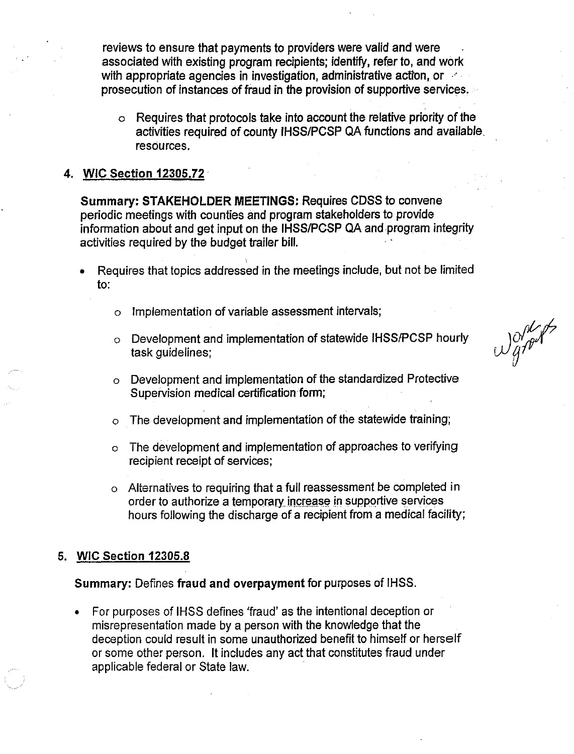reviews to ensure that payments to providers were valid and were associated with existing program recipients; identify, refer to, and work with appropriate agencies in investigation, administrative action, or prosecution of instances of fraud in the provision of supportive services.

Requires that protocols take into account the relative priority of the  $\circ$ activities required of county IHSS/PCSP QA functions and available. resources.

#### 4. WIC Section 12305.72

Summary: STAKEHOLDER MEETINGS: Requires CDSS to convene periodic meetings with counties and program stakeholders to provide information about and get input on the IHSS/PCSP QA and program integrity activities required by the budget trailer bill.

- Requires that topics addressed in the meetings include, but not be limited  $\mathbf{t}$ .
	- Implementation of variable assessment intervals;  $\Omega$
	- Development and implementation of statewide IHSS/PCSP hourly Ō. task guidelines;

Want.

- o Development and implementation of the standardized Protective Supervision medical certification form;
- The development and implementation of the statewide training;  $\Omega$
- o The development and implementation of approaches to verifying recipient receipt of services;
- o Alternatives to requiring that a full reassessment be completed in order to authorize a temporary increase in supportive services hours following the discharge of a recipient from a medical facility;

#### **WIC Section 12305.8** 5.

Summary: Defines fraud and overpayment for purposes of IHSS.

For purposes of IHSS defines 'fraud' as the intentional deception or misrepresentation made by a person with the knowledge that the deception could result in some unauthorized benefit to himself or herself or some other person. It includes any act that constitutes fraud under applicable federal or State law.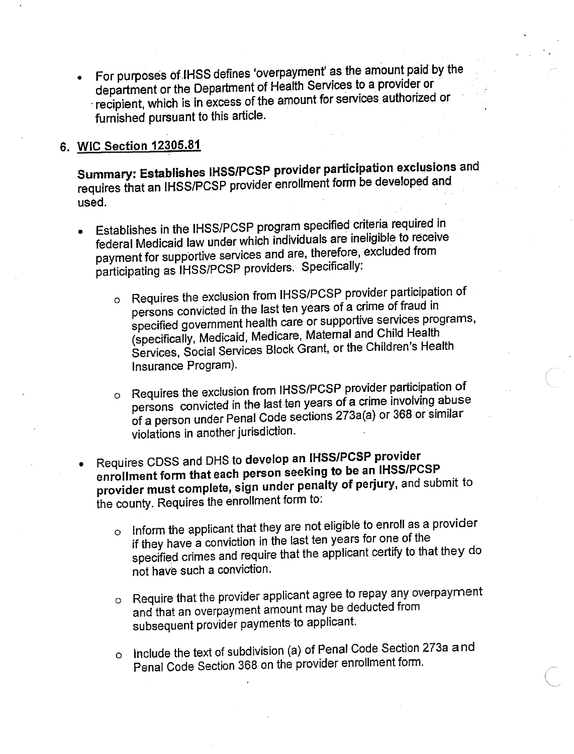For purposes of IHSS defines 'overpayment' as the amount paid by the department or the Department of Health Services to a provider or recipient, which is in excess of the amount for services authorized or furnished pursuant to this article.

## 6. WIC Section 12305.81

Summary: Establishes IHSS/PCSP provider participation exclusions and requires that an IHSS/PCSP provider enrollment form be developed and used.

- Establishes in the IHSS/PCSP program specified criteria required in federal Medicaid law under which individuals are ineligible to receive payment for supportive services and are, therefore, excluded from participating as IHSS/PCSP providers. Specifically:
	- o Requires the exclusion from IHSS/PCSP provider participation of persons convicted in the last ten years of a crime of fraud in specified government health care or supportive services programs, (specifically, Medicaid, Medicare, Maternal and Child Health Services, Social Services Block Grant, or the Children's Health Insurance Program).
	- o Requires the exclusion from IHSS/PCSP provider participation of persons convicted in the last ten years of a crime involving abuse of a person under Penal Code sections 273a(a) or 368 or similar violations in another jurisdiction.
- Requires CDSS and DHS to develop an IHSS/PCSP provider enrollment form that each person seeking to be an IHSS/PCSP provider must complete, sign under penalty of perjury, and submit to the county. Requires the enrollment form to:
	- Inform the applicant that they are not eligible to enroll as a provider  $\circ$ if they have a conviction in the last ten years for one of the specified crimes and require that the applicant certify to that they do not have such a conviction.
	- o Require that the provider applicant agree to repay any overpayment and that an overpayment amount may be deducted from subsequent provider payments to applicant.
	- o Include the text of subdivision (a) of Penal Code Section 273a and Penal Code Section 368 on the provider enrollment form.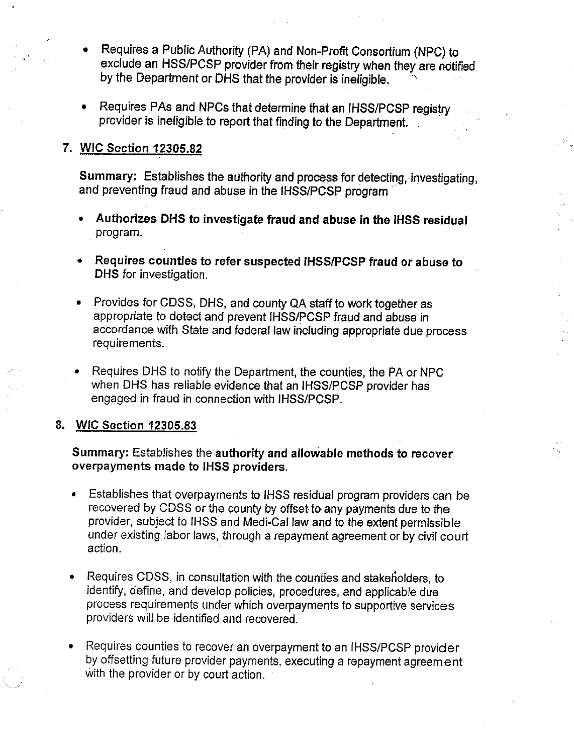- Requires a Public Authority (PA) and Non-Profit Consortium (NPC) to exclude an HSS/PCSP provider from their registry when they are notified by the Department or DHS that the provider is ineligible.
- Requires PAs and NPCs that determine that an IHSS/PCSP registry provider is ineligible to report that finding to the Department.

# 7. WIC Section 12305.82

Summary: Establishes the authority and process for detecting, investigating, and preventing fraud and abuse in the IHSS/PCSP program

- Authorizes DHS to investigate fraud and abuse in the IHSS residual program.
- Requires counties to refer suspected IHSS/PCSP fraud or abuse to DHS for investigation.
- Provides for CDSS, DHS, and county QA staff to work together as appropriate to detect and prevent IHSS/PCSP fraud and abuse in accordance with State and federal law including appropriate due process requirements.
- Requires DHS to notify the Department, the counties, the PA or NPC when DHS has reliable evidence that an IHSS/PCSP provider has engaged in fraud in connection with IHSS/PCSP.

#### 8. WIC Section 12305.83

#### Summary: Establishes the authority and allowable methods to recover overpayments made to IHSS providers.

- Establishes that overpayments to IHSS residual program providers can be recovered by CDSS or the county by offset to any payments due to the provider, subject to IHSS and Medi-Cal law and to the extent permissible under existing labor laws, through a repayment agreement or by civil court action.
- Requires CDSS, in consultation with the counties and stakeholders, to identify, define, and develop policies, procedures, and applicable due process requirements under which overpayments to supportive services providers will be identified and recovered.
- Requires counties to recover an overpayment to an IHSS/PCSP provider by offsetting future provider payments, executing a repayment agreement with the provider or by court action.